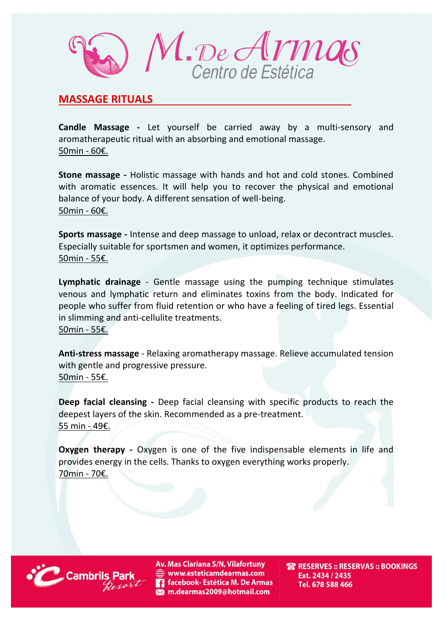

## **MASSAGE RITUALS**

**Candle Massage -** Let yourself be carried away by a multi-sensory and aromatherapeutic ritual with an absorbing and emotional massage. 50min - 60€.

**Stone massage -** Holistic massage with hands and hot and cold stones. Combined with aromatic essences. It will help you to recover the physical and emotional balance of your body. A different sensation of well-being. 50min - 60€.

**Sports massage -** Intense and deep massage to unload, relax or decontract muscles. Especially suitable for sportsmen and women, it optimizes performance. 50min - 55€.

**Lymphatic drainage** - Gentle massage using the pumping technique stimulates venous and lymphatic return and eliminates toxins from the body. Indicated for people who suffer from fluid retention or who have a feeling of tired legs. Essential in slimming and anti-cellulite treatments. 50min - 55€.

**Anti-stress massage** - Relaxing aromatherapy massage. Relieve accumulated tension with gentle and progressive pressure. 50min - 55€.

**Deep facial cleansing -** Deep facial cleansing with specific products to reach the deepest layers of the skin. Recommended as a pre-treatment. 55 min - 49€.

**Oxygen therapy -** Oxygen is one of the five indispensable elements in life and provides energy in the cells. Thanks to oxygen everything works properly. 70min - 70€.



Av. Mas Clariana S/N, Vilafortuny www.esteticamdearmas.com **13** facebook- Estética M. De Armas m.dearmas2009@hotmail.com

**TRESERVES :: RESERVAS :: BOOKINGS** Ext. 2434 / 2435 Tel. 678 588 466